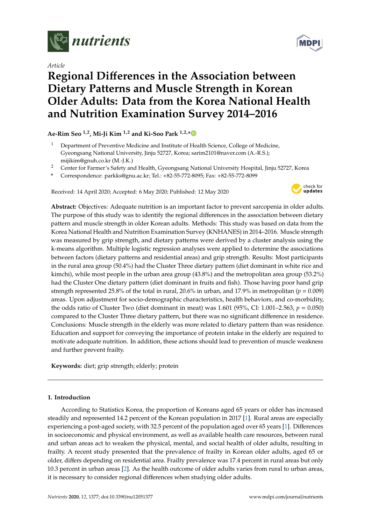

*Article*

# **Regional Di**ff**erences in the Association between Dietary Patterns and Muscle Strength in Korean Older Adults: Data from the Korea National Health and Nutrition Examination Survey 2014–2016**

# **Ae-Rim Seo 1,2, Mi-Ji Kim 1,2 and Ki-Soo Park 1,2,[\\*](https://orcid.org/0000-0001-5571-3639)**

- <sup>1</sup> Department of Preventive Medicine and Institute of Health Science, College of Medicine, Gyeongsang National University, Jinju 52727, Korea; sarim2101@naver.com (A.-R.S.); mijikim@gnuh.co.kr (M.-J.K.)
- <sup>2</sup> Center for Farmer's Safety and Health, Gyeongsang National University Hospital, Jinju 52727, Korea
- **\*** Correspondence: parkks@gnu.ac.kr; Tel.: +82-55-772-8095; Fax: +82-55-772-8099

Received: 14 April 2020; Accepted: 6 May 2020; Published: 12 May 2020



**Abstract:** Objectives: Adequate nutrition is an important factor to prevent sarcopenia in older adults. The purpose of this study was to identify the regional differences in the association between dietary pattern and muscle strength in older Korean adults. Methods: This study was based on data from the Korea National Health and Nutrition Examination Survey (KNHANES) in 2014–2016. Muscle strength was measured by grip strength, and dietary patterns were derived by a cluster analysis using the k-means algorithm. Multiple logistic regression analyses were applied to determine the associations between factors (dietary patterns and residential areas) and grip strength. Results: Most participants in the rural area group (50.4%) had the Cluster Three dietary pattern (diet dominant in white rice and kimchi), while most people in the urban area group (43.8%) and the metropolitan area group (53.2%) had the Cluster One dietary pattern (diet dominant in fruits and fish). Those having poor hand grip strength represented 25.8% of the total in rural, 20.6% in urban, and 17.9% in metropolitan ( $p = 0.009$ ) areas. Upon adjustment for socio-demographic characteristics, health behaviors, and co-morbidity, the odds ratio of Cluster Two (diet dominant in meat) was 1.601 (95%, CI: 1.001–2.563, *p* = 0.050) compared to the Cluster Three dietary pattern, but there was no significant difference in residence. Conclusions: Muscle strength in the elderly was more related to dietary pattern than was residence. Education and support for conveying the importance of protein intake in the elderly are required to motivate adequate nutrition. In addition, these actions should lead to prevention of muscle weakness and further prevent frailty.

**Keywords:** diet; grip strength; elderly; protein

### **1. Introduction**

According to Statistics Korea, the proportion of Koreans aged 65 years or older has increased steadily and represented 14.2 percent of the Korean population in 2017 [\[1\]](#page-8-0). Rural areas are especially experiencing a post-aged society, with 32.5 percent of the population aged over 65 years [\[1\]](#page-8-0). Differences in socioeconomic and physical environment, as well as available health care resources, between rural and urban areas act to weaken the physical, mental, and social health of older adults, resulting in frailty. A recent study presented that the prevalence of frailty in Korean older adults, aged 65 or older, differs depending on residential area. Frailty prevalence was 17.4 percent in rural areas but only 10.3 percent in urban areas [\[2\]](#page-8-1). As the health outcome of older adults varies from rural to urban areas, it is necessary to consider regional differences when studying older adults.

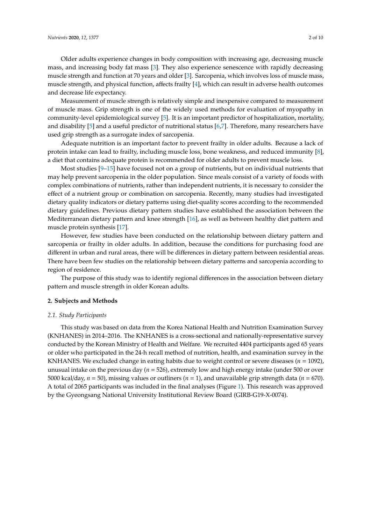Measurement of muscle strength is relatively simple and inexpensive compared to measurement of muscle mass. Grip strength is one of the widely used methods for evaluation of myopathy in community-level epidemiological survey [\[5\]](#page-8-4). It is an important predictor of hospitalization, mortality, and disability [\[5\]](#page-8-4) and a useful predictor of nutritional status [\[6,](#page-8-5)[7\]](#page-8-6). Therefore, many researchers have used grip strength as a surrogate index of sarcopenia.

Adequate nutrition is an important factor to prevent frailty in older adults. Because a lack of protein intake can lead to frailty, including muscle loss, bone weakness, and reduced immunity [\[8\]](#page-8-7), a diet that contains adequate protein is recommended for older adults to prevent muscle loss.

Most studies  $[9-15]$  $[9-15]$  have focused not on a group of nutrients, but on individual nutrients that may help prevent sarcopenia in the older population. Since meals consist of a variety of foods with complex combinations of nutrients, rather than independent nutrients, it is necessary to consider the effect of a nutrient group or combination on sarcopenia. Recently, many studies had investigated dietary quality indicators or dietary patterns using diet-quality scores according to the recommended dietary guidelines. Previous dietary pattern studies have established the association between the Mediterranean dietary pattern and knee strength [\[16\]](#page-9-1), as well as between healthy diet pattern and muscle protein synthesis [\[17\]](#page-9-2).

However, few studies have been conducted on the relationship between dietary pattern and sarcopenia or frailty in older adults. In addition, because the conditions for purchasing food are different in urban and rural areas, there will be differences in dietary pattern between residential areas. There have been few studies on the relationship between dietary patterns and sarcopenia according to region of residence.

The purpose of this study was to identify regional differences in the association between dietary pattern and muscle strength in older Korean adults.

#### **2. Subjects and Methods**

#### *2.1. Study Participants*

This study was based on data from the Korea National Health and Nutrition Examination Survey (KNHANES) in 2014–2016. The KNHANES is a cross-sectional and nationally-representative survey conducted by the Korean Ministry of Health and Welfare. We recruited 4404 participants aged 65 years or older who participated in the 24-h recall method of nutrition, health, and examination survey in the KNHANES. We excluded change in eating habits due to weight control or severe diseases (*n* = 1092), unusual intake on the previous day (*n* = 526), extremely low and high energy intake (under 500 or over 5000 kcal/day, *n* = 50), missing values or outliners (*n* = 1), and unavailable grip strength data (*n* = 670). A total of 2065 participants was included in the final analyses (Figure [1\)](#page-2-0). This research was approved by the Gyeongsang National University Institutional Review Board (GIRB-G19-X-0074).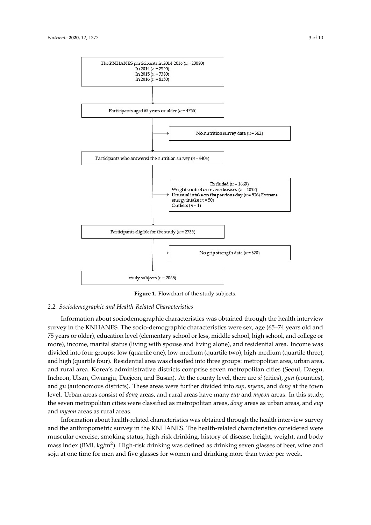<span id="page-2-0"></span>

**Figure 1.** Flowchart of the study subjects.

# **Figure 1.** Flowchart of the study subjects. *2.2. Sociodemographic and Health-Related Characteristics*

*2.2. Sociodemographic and Health-Related Characteristics*  Information about sociodemographic characteristics was obtained through the health interview Formation about sociodemographic characteristics were sext, age (see FFT years or a line of the health interview or less, middle school, high school, and college or survey jears of order), calculated fever (elementary sensor of ress) madde sensor) high sensor) and conege of more), income, marital status (living with spouse and living alone), and residential area. Income was more), meme, manual status (nving with spease and nving alone), and residential area. Income was<br>divided into four groups: low (quartile one), low-medium (quartile two), high-medium (quartile three), and high (quartile four). Residential area was classified into three groups: metropolitan area, urban area, and high (quartile four). Residential area was classified into three groups: metropolitan area, urban area, and rural area. Korea's administrative districts comprise seven metropolitan cities (Seoul, Daegu, three distribution area was continuously area was completed was continuously and the second particle for the s Incheon, Ulsan, Gwangju, Daejeon, and Busan). At the county level, there are *si* (cities), *gun* (counties), level. Urban areas consist of *dong* areas, and rural areas have many *eup* and *myeon*, and *mang* at the term (counties), and *gu* (autonomous districts). These areas were further divided into *eup*, *myeon*, and *dong* the seven metropolitan cities were classified as metropolitan areas, *dong* areas as urban areas, and *eup* survey in the KNHANES. The socio-demographic characteristics were sex, age (65–74 years old and and *gu* (autonomous districts). These areas were further divided into *eup*, *myeon*, and *dong* at the town and *myeon* areas as rural areas.

In this study, the seven metropolitan cities were classified as metropolitan areas, *dong* areas as urban Information about health-related characteristics was obtained through the health interview survey<br>Like the health interview survey and the anthopometre survey in the relation test. The health related characteristics considered were<br>muscular exercise, smoking status, high-risk drinking, history of disease, height, weight, and body survey and the anti-relation of the anti-relation of the anti-relation of the characteristics and the following of the following characteristics and the following of the following characteristics and the following characte mass index (BMI, kg/m<sup>2</sup>). High-risk drinking was defined as drinking seven glasses of beer, wine and soju at one time for men and five glasses for women and drinking more than twice per week. and the anthropometric survey in the KNHANES. The health-related characteristics considered were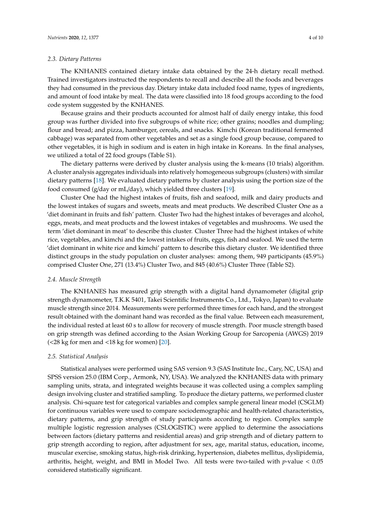#### *2.3. Dietary Patterns*

The KNHANES contained dietary intake data obtained by the 24-h dietary recall method. Trained investigators instructed the respondents to recall and describe all the foods and beverages they had consumed in the previous day. Dietary intake data included food name, types of ingredients, and amount of food intake by meal. The data were classified into 18 food groups according to the food code system suggested by the KNHANES.

Because grains and their products accounted for almost half of daily energy intake, this food group was further divided into five subgroups of white rice; other grains; noodles and dumpling; flour and bread; and pizza, hamburger, cereals, and snacks. Kimchi (Korean traditional fermented cabbage) was separated from other vegetables and set as a single food group because, compared to other vegetables, it is high in sodium and is eaten in high intake in Koreans. In the final analyses, we utilized a total of 22 food groups (Table S1).

The dietary patterns were derived by cluster analysis using the k-means (10 trials) algorithm. A cluster analysis aggregates individuals into relatively homogeneous subgroups (clusters) with similar dietary patterns [\[18\]](#page-9-3). We evaluated dietary patterns by cluster analysis using the portion size of the food consumed (g/day or mL/day), which yielded three clusters [\[19\]](#page-9-4).

Cluster One had the highest intakes of fruits, fish and seafood, milk and dairy products and the lowest intakes of sugars and sweets, meats and meat products. We described Cluster One as a 'diet dominant in fruits and fish' pattern. Cluster Two had the highest intakes of beverages and alcohol, eggs, meats, and meat products and the lowest intakes of vegetables and mushrooms. We used the term 'diet dominant in meat' to describe this cluster. Cluster Three had the highest intakes of white rice, vegetables, and kimchi and the lowest intakes of fruits, eggs, fish and seafood. We used the term 'diet dominant in white rice and kimchi' pattern to describe this dietary cluster. We identified three distinct groups in the study population on cluster analyses: among them, 949 participants (45.9%) comprised Cluster One, 271 (13.4%) Cluster Two, and 845 (40.6%) Cluster Three (Table S2).

#### *2.4. Muscle Strength*

The KNHANES has measured grip strength with a digital hand dynamometer (digital grip strength dynamometer, T.K.K 5401, Takei Scientific Instruments Co., Ltd., Tokyo, Japan) to evaluate muscle strength since 2014. Measurements were performed three times for each hand, and the strongest result obtained with the dominant hand was recorded as the final value. Between each measurement, the individual rested at least 60 s to allow for recovery of muscle strength. Poor muscle strength based on grip strength was defined according to the Asian Working Group for Sarcopenia (AWGS) 2019  $\left($  <28 kg for men and <18 kg for women) [\[20\]](#page-9-5).

#### *2.5. Statistical Analysis*

Statistical analyses were performed using SAS version 9.3 (SAS Institute Inc., Cary, NC, USA) and SPSS version 25.0 (IBM Corp., Armonk, NY, USA). We analyzed the KNHANES data with primary sampling units, strata, and integrated weights because it was collected using a complex sampling design involving cluster and stratified sampling. To produce the dietary patterns, we performed cluster analysis. Chi-square test for categorical variables and complex sample general linear model (CSGLM) for continuous variables were used to compare sociodemographic and health-related characteristics, dietary patterns, and grip strength of study participants according to region. Complex sample multiple logistic regression analyses (CSLOGISTIC) were applied to determine the associations between factors (dietary patterns and residential areas) and grip strength and of dietary pattern to grip strength according to region, after adjustment for sex, age, marital status, education, income, muscular exercise, smoking status, high-risk drinking, hypertension, diabetes mellitus, dyslipidemia, arthritis, height, weight, and BMI in Model Two. All tests were two-tailed with *p*-value < 0.05 considered statistically significant.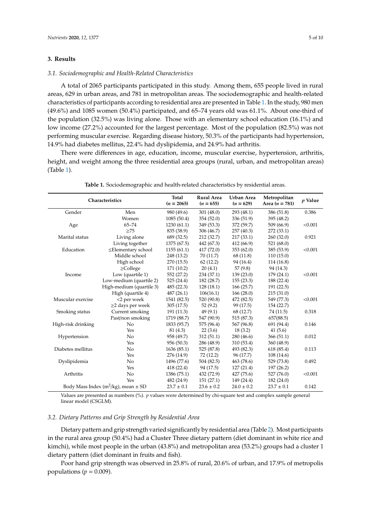#### **3. Results**

#### *3.1. Sociodemographic and Health-Related Characteristics*

A total of 2065 participants participated in this study. Among them, 655 people lived in rural areas, 629 in urban areas, and 781 in metropolitan areas. The sociodemographic and health-related characteristics of participants according to residential area are presented in Table [1.](#page-4-0) In the study, 980 men (49.6%) and 1085 women (50.4%) participated, and 65–74 years old was 61.1%. About one-third of the population (32.5%) was living alone. Those with an elementary school education (16.1%) and low income (27.2%) accounted for the largest percentage. Most of the population (82.5%) was not performing muscular exercise. Regarding disease history, 50.3% of the participants had hypertension, 14.9% had diabetes mellitus, 22.4% had dyslipidemia, and 24.9% had arthritis.

There were differences in age, education, income, muscular exercise, hypertension, arthritis, height, and weight among the three residential area groups (rural, urban, and metropolitan areas) (Table [1\)](#page-4-0).

<span id="page-4-0"></span>

| Characteristics                             |                          | Total<br>$(n = 2065)$ | <b>Rural Area</b><br>$(n = 655)$ | Urban Area<br>$(n = 629)$ | Metropolitan<br>Area $(n = 781)$ | $p$ Value |
|---------------------------------------------|--------------------------|-----------------------|----------------------------------|---------------------------|----------------------------------|-----------|
| Gender                                      | Men                      | 980 (49.6)            | 301(48.0)                        | 293 (48.1)                | 386 (51.8)                       | 0.386     |
|                                             | Women                    | 1085(50.4)            | 354(52.0)                        | 336 (51.9)                | 395 (48.2)                       |           |
| Age                                         | $65 - 74$                | 1230(61.1)            | 349 (53.3)                       | 372 (59.7)                | 509 (66.9)                       | < 0.001   |
|                                             | $>75$                    | 835 (38.9)            | 306 (46.7)                       | 257 (40.3)                | 272 (33.1)                       |           |
| Marital status                              | Living alone             | 689 (32.5)            | 212 (32.7)                       | 217(33.1)                 | 260 (32.0)                       | 0.921     |
|                                             | Living together          | 1375 (67.5)           | 442 (67.3)                       | 412 (66.9)                | 521 (68.0)                       |           |
| Education                                   | ≤Elementary school       | 1155(61.1)            | 417(72.0)                        | 353 (62.0)                | 385 (53.9)                       | < 0.001   |
|                                             | Middle school            | 248 (13.2)            | 70 (11.7)                        | 68 (11.8)                 | 110(15.0)                        |           |
|                                             | High school              | 270(15.5)             | 62(12.2)                         | 94 (16.4)                 | 114 (16.8)                       |           |
|                                             | $\geq$ College           | 171 (10.2)            | 20(4.1)                          | 57(9.8)                   | 94 (14.3)                        |           |
| Income                                      | Low (quartile 1)         | 552 (27.2)            | 234 (37.1)                       | 139 (23.0)                | 179 (24.1)                       | < 0.001   |
|                                             | Low-medium (quartile 2)  | 525(24.4)             | 182 (28.7)                       | 155(23.3)                 | 188 (22.4)                       |           |
|                                             | High-medium (quartile 3) | 485(22.3)             | 128(18.1)                        | 166(25.7)                 | 191 (22.5)                       |           |
|                                             | High (quartile 4)        | 487(26.1)             | 106(16.1)                        | 166(28.0)                 | 215 (31.0)                       |           |
| Muscular exercise                           | <2 per week              | 1541 (82.5)           | 520 (90.8)                       | 472 (82.5)                | 549 (77.3)                       | < 0.001   |
|                                             | $\geq$ 2 days per week   | 305(17.5)             | 52(9.2)                          | 99 (17.5)                 | 154 (22.7)                       |           |
| Smoking status                              | Current smoking          | 191 (11.3)            | 49(9.1)                          | 68 (12.7)                 | 74 (11.5)                        | 0.318     |
|                                             | Past/non smoking         | 1719 (88.7)           | 547 (90.9)                       | 515 (87.3)                | 657(88.5)                        |           |
| High-risk drinking                          | N <sub>o</sub>           | 1833 (95.7)           | 575 (96.4)                       | 567 (96.8)                | 691 (94.4)                       | 0.146     |
|                                             | Yes                      | 81(4.3)               | 22(3.6)                          | 18(3.2)                   | 41(5.6)                          |           |
| Hypertension                                | No                       | 958 (49.7)            | 312(51.1)                        | 280 (46.6)                | 366 (51.1)                       | 0.012     |
|                                             | Yes                      | 956 (50.3)            | 286 (48.9)                       | 310 (53.4)                | 360 (48.9)                       |           |
| Diabetes mellitus                           | No                       | 1636 (85.1)           | 525 (87.8)                       | 493 (82.3)                | 618 (85.4)                       | 0.113     |
|                                             | Yes                      | 276 (14.9)            | 72 (12.2)                        | 96 (17.7)                 | 108 (14.6)                       |           |
| Dyslipidemia                                | No                       | 1496 (77.6)           | 504 (82.5)                       | 463 (78.6)                | 529 (73.8)                       | 0.492     |
|                                             | Yes                      | 418(22.4)             | 94 (17.5)                        | 127(21.4)                 | 197 (26.2)                       |           |
| Arthritis                                   | No                       | 1386 (75.1)           | 432 (72.9)                       | 427 (75.6)                | 527 (76.0)                       | < 0.001   |
|                                             | Yes                      | 482 (24.9)            | 151(27.1)                        | 149 (24.4)                | 182 (24.0)                       |           |
| Body Mass Index ( $m^2/kg$ ), mean $\pm$ SD |                          | $23.7 \pm 0.1$        | $23.6 \pm 0.2$                   | $24.0 \pm 0.2$            | $23.7 \pm 0.1$                   | 0.142     |

**Table 1.** Sociodemographic and health-related characteristics by residential areas.

Values are presented as numbers (%). *p* values were determined by chi-square test and complex sample general linear model (CSGLM).

#### *3.2. Dietary Patterns and Grip Strength by Residential Area*

Dietary pattern and grip strength varied significantly by residential area (Table [2\)](#page-5-0). Most participants in the rural area group (50.4%) had a Cluster Three dietary pattern (diet dominant in white rice and kimchi), while most people in the urban (43.8%) and metropolitan area (53.2%) groups had a cluster 1 dietary pattern (diet dominant in fruits and fish).

Poor hand grip strength was observed in 25.8% of rural, 20.6% of urban, and 17.9% of metropolis populations ( $p = 0.009$ ).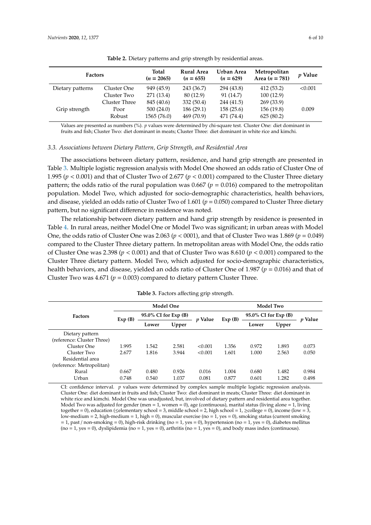<span id="page-5-0"></span>

| <b>Factors</b>   |                                 | Total<br><b>Rural Area</b><br>$(n = 2065)$<br>$(n = 655)$ |                                       | Urban Area<br>$(n = 629)$             | Metropolitan<br>Area $(n = 781)$      | <i>p</i> Value |
|------------------|---------------------------------|-----------------------------------------------------------|---------------------------------------|---------------------------------------|---------------------------------------|----------------|
| Dietary patterns | Cluster One<br>Cluster Two      | 949 (45.9)<br>271 (13.4)                                  | 243 (36.7)<br>80 (12.9)               | 294 (43.8)<br>91 (14.7)               | 412 (53.2)<br>100(12.9)               | < 0.001        |
| Grip strength    | Cluster Three<br>Poor<br>Robust | 845 (40.6)<br>500(24.0)<br>1565 (76.0)                    | 332 (50.4)<br>186(29.1)<br>469 (70.9) | 244 (41.5)<br>158(25.6)<br>471 (74.4) | 269 (33.9)<br>156 (19.8)<br>625(80.2) | 0.009          |

**Table 2.** Dietary patterns and grip strength by residential areas.

Values are presented as numbers (%). *p* values were determined by chi-square test. Cluster One: diet dominant in fruits and fish; Cluster Two: diet dominant in meats; Cluster Three: diet dominant in white rice and kimchi.

#### *3.3. Associations between Dietary Pattern, Grip Strength, and Residential Area*

The associations between dietary pattern, residence, and hand grip strength are presented in Table [3.](#page-5-1) Multiple logistic regression analysis with Model One showed an odds ratio of Cluster One of 1.995 (*p* < 0.001) and that of Cluster Two of 2.677 (*p* < 0.001) compared to the Cluster Three dietary pattern; the odds ratio of the rural population was  $0.667$  ( $p = 0.016$ ) compared to the metropolitan population. Model Two, which adjusted for socio-demographic characteristics, health behaviors, and disease, yielded an odds ratio of Cluster Two of 1.601 (*p* = 0.050) compared to Cluster Three dietary pattern, but no significant difference in residence was noted.

The relationship between dietary pattern and hand grip strength by residence is presented in Table [4.](#page-6-0) In rural areas, neither Model One or Model Two was significant; in urban areas with Model One, the odds ratio of Cluster One was 2.063 ( $p < 0001$ ), and that of Cluster Two was 1.869 ( $p = 0.049$ ) compared to the Cluster Three dietary pattern. In metropolitan areas with Model One, the odds ratio of Cluster One was 2.398 (*p* < 0.001) and that of Cluster Two was 8.610 (*p* < 0.001) compared to the Cluster Three dietary pattern. Model Two, which adjusted for socio-demographic characteristics, health behaviors, and disease, yielded an odds ratio of Cluster One of 1.987 (*p* = 0.016) and that of Cluster Two was  $4.671$  ( $p = 0.003$ ) compared to dietary pattern Cluster Three.

<span id="page-5-1"></span>

|                            |        |                      | <b>Model One</b> |                | Model Two |                      |       |                |  |
|----------------------------|--------|----------------------|------------------|----------------|-----------|----------------------|-------|----------------|--|
| <b>Factors</b>             | Exp(B) | 95.0% CI for Exp (B) |                  | <i>v</i> Value | Exp(B)    | 95.0% CI for Exp (B) |       | <i>v</i> Value |  |
|                            |        | Lower                | Upper            |                |           | Lower                | Upper |                |  |
| Dietary pattern            |        |                      |                  |                |           |                      |       |                |  |
| (reference: Cluster Three) |        |                      |                  |                |           |                      |       |                |  |
| Cluster One                | 1.995  | 1.542                | 2.581            | < 0.001        | 1.356     | 0.972                | 1.893 | 0.073          |  |
| Cluster Two                | 2.677  | 1.816                | 3.944            | < 0.001        | 1.601     | 1.000                | 2.563 | 0.050          |  |
| Residential area           |        |                      |                  |                |           |                      |       |                |  |
| (reference: Metropolitan)  |        |                      |                  |                |           |                      |       |                |  |
| Rural                      | 0.667  | 0.480                | 0.926            | 0.016          | 1.004     | 0.680                | 1.482 | 0.984          |  |
| Urban                      | 0.748  | 0.540                | 1.037            | 0.081          | 0.877     | 0.601                | 1.282 | 0.498          |  |

**Table 3.** Factors affecting grip strength.

CI: confidence interval. *p* values were determined by complex sample multiple logistic regression analysis. Cluster One: diet dominant in fruits and fish; Cluster Two: diet dominant in meats; Cluster Three: diet dominant in white rice and kimchi. Model One was unadjusted, but, involved of dietary pattern and residential area together. Model Two was adjusted for gender (men = 1, women = 0), age (continuous), marital status (living alone = 1, living together = 0), education ( $\leq$ elementary school = 3, middle school = 2, high school = 1,  $\geq$ college = 0), income (low = 3, low-medium = 2, high-medium = 1, high = 0), muscular exercise (no = 1, yes = 0), smoking status (current smoking  $= 1$ , past / non-smoking  $= 0$ ), high-risk drinking (no  $= 1$ , yes  $= 0$ ), hypertension (no  $= 1$ , yes  $= 0$ ), diabetes mellitus  $(no = 1, yes = 0)$ , dyslipidemia  $(no = 1, yes = 0)$ , arthritis  $(no = 1, yes = 0)$ , and body mass index (continuous).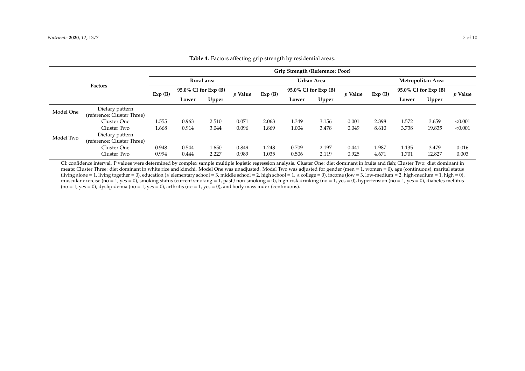| <b>Factors</b> |                            | Grip Strength (Reference: Poor)   |       |                |            |        |                      |       |                   |        |                       |        |                |
|----------------|----------------------------|-----------------------------------|-------|----------------|------------|--------|----------------------|-------|-------------------|--------|-----------------------|--------|----------------|
|                |                            | Rural area                        |       |                | Urban Area |        |                      |       | Metropolitan Area |        |                       |        |                |
|                |                            | $95.0\%$ CI for Exp (B)<br>Exp(B) |       | <i>v</i> Value |            | Exp(B) | 95.0% CI for Exp (B) |       | <i>p</i> Value    | Exp(B) | 95.0% CI for $Exp(B)$ |        | <i>v</i> Value |
|                |                            |                                   | Lower | Upper          |            |        | Lower                | Upper |                   |        | Lower                 | Upper  |                |
| Model One      | Dietary pattern            |                                   |       |                |            |        |                      |       |                   |        |                       |        |                |
|                | (reference: Cluster Three) |                                   |       |                |            |        |                      |       |                   |        |                       |        |                |
|                | Cluster One                | 1.555                             | 0.963 | 2.510          | 0.071      | 2.063  | 1.349                | 3.156 | 0.001             | 2.398  | 1.572                 | 3.659  | < 0.001        |
| Model Two      | Cluster Two                | 1.668                             | 0.914 | 3.044          | 0.096      | 1.869  | 1.004                | 3.478 | 0.049             | 8.610  | 3.738                 | 19.835 | < 0.001        |
|                | Dietary pattern            |                                   |       |                |            |        |                      |       |                   |        |                       |        |                |
|                | (reference: Cluster Three) |                                   |       |                |            |        |                      |       |                   |        |                       |        |                |
|                | Cluster One                | 0.948                             | 0.544 | 1.650          | 0.849      | 1.248  | 0.709                | 2.197 | 0.441             | 1.987  | 1.135                 | 3.479  | 0.016          |
|                | Cluster Two                | 0.994                             | 0.444 | 2.227          | 0.989      | 1.035  | 0.506                | 2.119 | 0.925             | 4.671  | 1.701                 | 12.827 | 0.003          |

## **Table 4.** Factors affecting grip strength by residential areas.

<span id="page-6-0"></span>CI: confidence interval. P values were determined by complex sample multiple logistic regression analysis. Cluster One: diet dominant in fruits and fish; Cluster Two: diet dominant in meats; Cluster Three: diet dominant in white rice and kimchi. Model One was unadjusted. Model Two was adjusted for gender (men = 1, women = 0), age (continuous), marital status (living alone = 1, living together = 0), education ( $\leq$  elementary school = 3, middle school = 2, high school = 1,  $\geq$  college = 0), income (low = 3, low-medium = 2, high-medium = 1, high = 0), muscular exercise (no = 1, yes = 0), smoking status (current smoking = 1, past / non-smoking = 0), high-risk drinking (no = 1, yes = 0), hypertension (no = 1, yes = 0), diabetes mellitus  $(no = 1, yes = 0)$ , dyslipidemia  $(no = 1, yes = 0)$ , arthritis  $(no = 1, yes = 0)$ , and body mass index (continuous).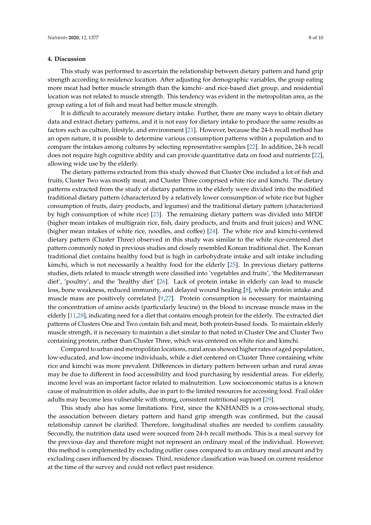#### **4. Discussion**

This study was performed to ascertain the relationship between dietary pattern and hand grip strength according to residence location. After adjusting for demographic variables, the group eating more meat had better muscle strength than the kimchi- and rice-based diet group, and residential location was not related to muscle strength. This tendency was evident in the metropolitan area, as the group eating a lot of fish and meat had better muscle strength.

It is difficult to accurately measure dietary intake. Further, there are many ways to obtain dietary data and extract dietary patterns, and it is not easy for dietary intake to produce the same results as factors such as culture, lifestyle, and environment [\[21\]](#page-9-6). However, because the 24-h recall method has an open nature, it is possible to determine various consumption patterns within a population and to compare the intakes among cultures by selecting representative samples [\[22\]](#page-9-7). In addition, 24-h recall does not require high cognitive ability and can provide quantitative data on food and nutrients [\[22\]](#page-9-7), allowing wide use by the elderly.

The dietary patterns extracted from this study showed that Cluster One included a lot of fish and fruits, Cluster Two was mostly meat, and Cluster Three comprised white rice and kimchi. The dietary patterns extracted from the study of dietary patterns in the elderly were divided into the modified traditional dietary pattern (characterized by a relatively lower consumption of white rice but higher consumption of fruits, dairy products, and legumes) and the traditional dietary pattern (characterized by high consumption of white rice) [\[23\]](#page-9-8). The remaining dietary pattern was divided into MFDF (higher mean intakes of multigrain rice, fish, dairy products, and fruits and fruit juices) and WNC (higher mean intakes of white rice, noodles, and coffee) [\[24\]](#page-9-9). The white rice and kimchi-centered dietary pattern (Cluster Three) observed in this study was similar to the white rice-centered diet pattern commonly noted in previous studies and closely resembled Korean traditional diet. The Korean traditional diet contains healthy food but is high in carbohydrate intake and salt intake including kimchi, which is not necessarily a healthy food for the elderly [\[25\]](#page-9-10). In previous dietary patterns studies, diets related to muscle strength were classified into 'vegetables and fruits', 'the Mediterranean diet', 'poultry', and the 'healthy diet' [\[26\]](#page-9-11). Lack of protein intake in elderly can lead to muscle loss, bone weakness, reduced immunity, and delayed wound healing [\[8\]](#page-8-7), while protein intake and muscle mass are positively correlated [\[9](#page-8-8)[,27\]](#page-9-12). Protein consumption is necessary for maintaining the concentration of amino acids (particularly leucine) in the blood to increase muscle mass in the elderly [\[11,](#page-8-9)[28\]](#page-9-13), indicating need for a diet that contains enough protein for the elderly. The extracted diet patterns of Clusters One and Two contain fish and meat, both protein-based foods. To maintain elderly muscle strength, it is necessary to maintain a diet similar to that noted in Cluster One and Cluster Two containing protein, rather than Cluster Three, which was centered on white rice and kimchi.

Compared to urban and metropolitan locations, rural areas showed higher rates of aged population, low-educated, and low-income individuals, while a diet centered on Cluster Three containing white rice and kimchi was more prevalent. Differences in dietary pattern between urban and rural areas may be due to different in food accessibility and food purchasing by residential areas. For elderly, income level was an important factor related to malnutrition. Low socioeconomic status is a known cause of malnutrition in older adults, due in part to the limited resources for accessing food. Frail older adults may become less vulnerable with strong, consistent nutritional support [\[29\]](#page-9-14).

This study also has some limitations. First, since the KNHANES is a cross-sectional study, the association between dietary pattern and hand grip strength was confirmed, but the causal relationship cannot be clarified. Therefore, longitudinal studies are needed to confirm causality. Secondly, the nutrition data used were sourced from 24-h recall methods. This is a meal survey for the previous day and therefore might not represent an ordinary meal of the individual. However, this method is complemented by excluding outlier cases compared to an ordinary meal amount and by excluding cases influenced by diseases. Third, residence classification was based on current residence at the time of the survey and could not reflect past residence.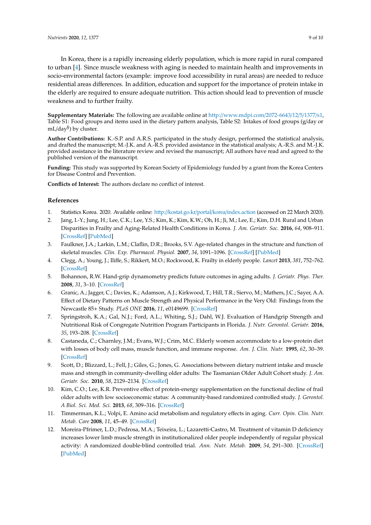In Korea, there is a rapidly increasing elderly population, which is more rapid in rural compared to urban [\[4\]](#page-8-3). Since muscle weakness with aging is needed to maintain health and improvements in socio-environmental factors (example: improve food accessibility in rural areas) are needed to reduce residential areas differences. In addition, education and support for the importance of protein intake in the elderly are required to ensure adequate nutrition. This action should lead to prevention of muscle weakness and to further frailty.

**Supplementary Materials:** The following are available online at http://[www.mdpi.com](http://www.mdpi.com/2072-6643/12/5/1377/s1)/2072-6643/12/5/1377/s1, Table S1: Food groups and items used in the dietary pattern analysis, Table S2: Intakes of food groups (g/day or mL/day§ ) by cluster.

**Author Contributions:** K.-S.P. and A.R.S. participated in the study design, performed the statistical analysis, and drafted the manuscript; M.-J.K. and A.-R.S. provided assistance in the statistical analysis; A.-R.S. and M.-J.K. provided assistance in the literature review and revised the manuscript; All authors have read and agreed to the published version of the manuscript.

**Funding:** This study was supported by Korean Society of Epidemiology funded by a grant from the Korea Centers for Disease Control and Prevention.

**Conflicts of Interest:** The authors declare no conflict of interest.

#### **References**

- <span id="page-8-0"></span>1. Statistics Korea. 2020. Available online: http://kostat.go.kr/portal/korea/[index.action](http://kostat.go.kr/portal/korea/index.action) (accessed on 22 March 2020).
- <span id="page-8-1"></span>2. Jang, I.-Y.; Jung, H.; Lee, C.K.; Lee, Y.S.; Kim, K.; Kim, K.W.; Oh, H.; Ji, M.; Lee, E.; Kim, D.H. Rural and Urban Disparities in Frailty and Aging-Related Health Conditions in Korea. *J. Am. Geriatr. Soc.* **2016**, *64*, 908–911. [\[CrossRef\]](http://dx.doi.org/10.1111/jgs.14074) [\[PubMed\]](http://www.ncbi.nlm.nih.gov/pubmed/27100601)
- <span id="page-8-2"></span>3. Faulkner, J.A.; Larkin, L.M.; Claflin, D.R.; Brooks, S.V. Age-related changes in the structure and function of skeletal muscles. *Clin. Exp. Pharmacol. Physiol.* **2007**, *34*, 1091–1096. [\[CrossRef\]](http://dx.doi.org/10.1111/j.1440-1681.2007.04752.x) [\[PubMed\]](http://www.ncbi.nlm.nih.gov/pubmed/17880359)
- <span id="page-8-3"></span>4. Clegg, A.; Young, J.; Iliffe, S.; Rikkert, M.O.; Rockwood, K. Frailty in elderly people. *Lancet* **2013**, *381*, 752–762. [\[CrossRef\]](http://dx.doi.org/10.1016/S0140-6736(12)62167-9)
- <span id="page-8-4"></span>5. Bohannon, R.W. Hand-grip dynamometry predicts future outcomes in aging adults. *J. Geriatr. Phys. Ther.* **2008**, *31*, 3–10. [\[CrossRef\]](http://dx.doi.org/10.1519/00139143-200831010-00002)
- <span id="page-8-5"></span>6. Granic, A.; Jagger, C.; Davies, K.; Adamson, A.J.; Kirkwood, T.; Hill, T.R.; Siervo, M.; Mathers, J.C.; Sayer, A.A. Effect of Dietary Patterns on Muscle Strength and Physical Performance in the Very Old: Findings from the Newcastle 85+ Study. *PLoS ONE* **2016**, *11*, e0149699. [\[CrossRef\]](http://dx.doi.org/10.1371/journal.pone.0149699)
- <span id="page-8-6"></span>7. Springstroh, K.A.; Gal, N.J.; Ford, A.L.; Whiting, S.J.; Dahl, W.J. Evaluation of Handgrip Strength and Nutritional Risk of Congregate Nutrition Program Participants in Florida. *J. Nutr. Gerontol. Geriatr.* **2016**, *35*, 193–208. [\[CrossRef\]](http://dx.doi.org/10.1080/21551197.2016.1209146)
- <span id="page-8-7"></span>8. Castaneda, C.; Charnley, J.M.; Evans, W.J.; Crim, M.C. Elderly women accommodate to a low-protein diet with losses of body cell mass, muscle function, and immune response. *Am. J. Clin. Nutr.* **1995**, *62*, 30–39. [\[CrossRef\]](http://dx.doi.org/10.1093/ajcn/62.1.30)
- <span id="page-8-8"></span>9. Scott, D.; Blizzard, L.; Fell, J.; Giles, G.; Jones, G. Associations between dietary nutrient intake and muscle mass and strength in community-dwelling older adults: The Tasmanian Older Adult Cohort study. *J. Am. Geriatr. Soc.* **2010**, *58*, 2129–2134. [\[CrossRef\]](http://dx.doi.org/10.1111/j.1532-5415.2010.03147.x)
- 10. Kim, C.O.; Lee, K.R. Preventive effect of protein-energy supplementation on the functional decline of frail older adults with low socioeconomic status: A community-based randomized controlled study. *J. Gerontol. A Biol. Sci. Med. Sci.* **2013**, *68*, 309–316. [\[CrossRef\]](http://dx.doi.org/10.1093/gerona/gls167)
- <span id="page-8-9"></span>11. Timmerman, K.L.; Volpi, E. Amino acid metabolism and regulatory effects in aging. *Curr. Opin. Clin. Nutr. Metab. Care* **2008**, *11*, 45–49. [\[CrossRef\]](http://dx.doi.org/10.1097/MCO.0b013e3282f2a592)
- 12. Moreira-Pfrimer, L.D.; Pedrosa, M.A.; Teixeira, L.; Lazaretti-Castro, M. Treatment of vitamin D deficiency increases lower limb muscle strength in institutionalized older people independently of regular physical activity: A randomized double-blind controlled trial. *Ann. Nutr. Metab.* **2009**, *54*, 291–300. [\[CrossRef\]](http://dx.doi.org/10.1159/000235874) [\[PubMed\]](http://www.ncbi.nlm.nih.gov/pubmed/19729890)